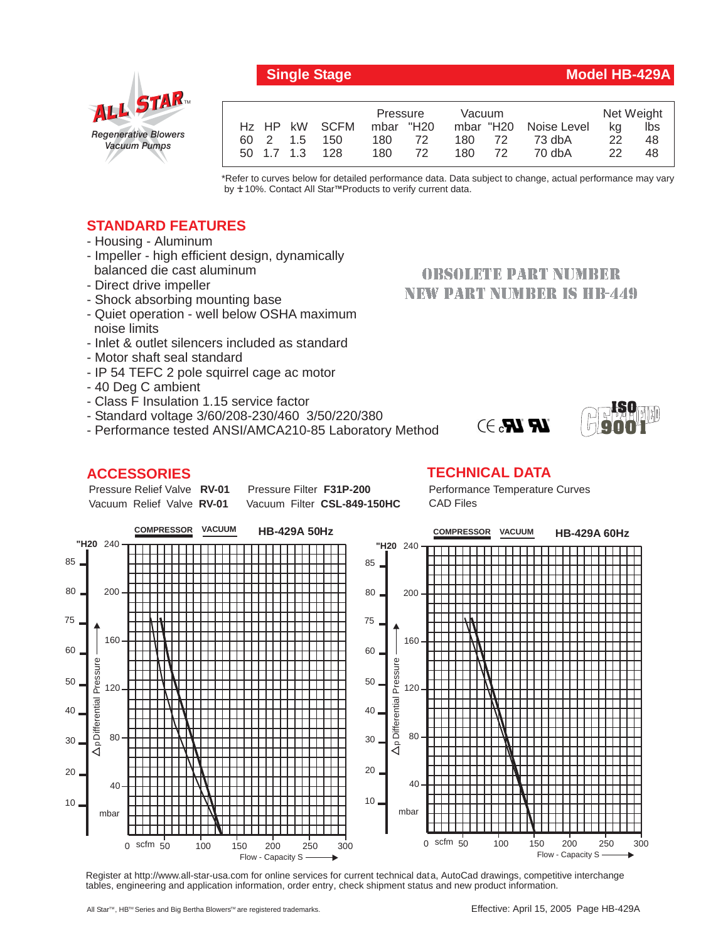

|  |                | Pressure  |      | Vacuum |  |                       | Net Weight   |     |
|--|----------------|-----------|------|--------|--|-----------------------|--------------|-----|
|  | Hz HP kW SCFM  | mbar "H20 |      |        |  | mbar "H20 Noise Level | ka           | lbs |
|  | 60 2 1.5 150   | 180       | - 72 | 180 72 |  | 73 dbA                | 22           | 48  |
|  | 50 1.7 1.3 128 | 180       | 72   | 180 72 |  | 70 dbA                | $22^{\circ}$ | 48  |

\*Refer to curves below for detailed performance data. Data subject to change, actual performance may vary by **+** 10%. Contact All Star™Products to verify current data.

## **STANDARD FEATURES**

- Housing Aluminum
- Impeller high efficient design, dynamically balanced die cast aluminum
- Direct drive impeller
- Shock absorbing mounting base
- Quiet operation well below OSHA maximum noise limits
- Inlet & outlet silencers included as standard
- Motor shaft seal standard
- IP 54 TEFC 2 pole squirrel cage ac motor
- 40 Deg C ambient
- Class F Insulation 1.15 service factor
- Standard voltage 3/60/208-230/460 3/50/220/380
- Performance tested ANSI/AMCA210-85 Laboratory Method

## **ACCESSORIES**

Pressure Relief Valve RV-01 Vacuum Relief Valve RV-01

**Pressure Filter F31P-200** Vacuum Filter CSL-849-150HC

# **OBSOLETE PART NUMBER NEW PART NUMBER IS HB-449**





### **TECHNICAL DATA**

Performance Temperature Curves CAD Files



Register at http://www.all-star-usa.com for online services for current technical data, AutoCad drawings, competitive interchange tables, engineering and application information, order entry, check shipment status and new product information.

**Single Stage Model HB-429A**